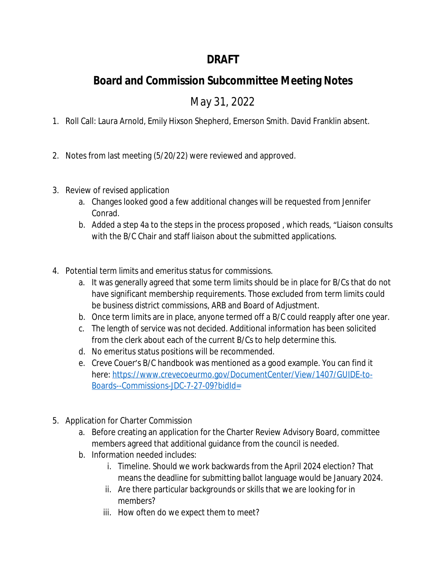## **DRAFT**

# **Board and Commission Subcommittee Meeting Notes**

May 31, 2022

- 1. Roll Call: Laura Arnold, Emily Hixson Shepherd, Emerson Smith. David Franklin absent.
- 2. Notes from last meeting (5/20/22) were reviewed and approved.
- 3. Review of revised application
	- a. Changes looked good a few additional changes will be requested from Jennifer Conrad.
	- b. Added a step 4a to the steps in the process proposed , which reads, "Liaison consults with the B/C Chair and staff liaison about the submitted applications.
- 4. Potential term limits and emeritus status for commissions.
	- a. It was generally agreed that some term limits should be in place for B/Cs that do not have significant membership requirements. Those excluded from term limits could be business district commissions, ARB and Board of Adjustment.
	- b. Once term limits are in place, anyone termed off a B/C could reapply after one year.
	- c. The length of service was not decided. Additional information has been solicited from the clerk about each of the current B/Cs to help determine this.
	- d. No emeritus status positions will be recommended.
	- e. Creve Couer's B/C handbook was mentioned as a good example. You can find it here: [https://www.crevecoeurmo.gov/DocumentCenter/View/1407/GUIDE-to-](https://www.crevecoeurmo.gov/DocumentCenter/View/1407/GUIDE-to-Boards--Commissions-JDC-7-27-09?bidId=)Boards--Commissions-JDC-7-27-09?bidId=
- 5. Application for Charter Commission
	- a. Before creating an application for the Charter Review Advisory Board, committee members agreed that additional guidance from the council is needed.
	- b. Information needed includes:
		- i. Timeline. Should we work backwards from the April 2024 election? That means the deadline for submitting ballot language would be January 2024.
		- ii. Are there particular backgrounds or skills that we are looking for in members?
		- iii. How often do we expect them to meet?